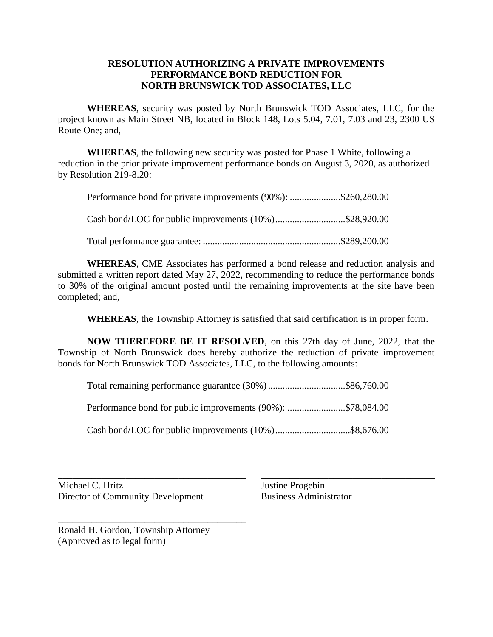## **RESOLUTION AUTHORIZING A PRIVATE IMPROVEMENTS PERFORMANCE BOND REDUCTION FOR NORTH BRUNSWICK TOD ASSOCIATES, LLC**

**WHEREAS**, security was posted by North Brunswick TOD Associates, LLC, for the project known as Main Street NB, located in Block 148, Lots 5.04, 7.01, 7.03 and 23, 2300 US Route One; and,

**WHEREAS**, the following new security was posted for Phase 1 White, following a reduction in the prior private improvement performance bonds on August 3, 2020, as authorized by Resolution 219-8.20:

| Performance bond for private improvements (90%): \$260,280.00 |  |
|---------------------------------------------------------------|--|
| Cash bond/LOC for public improvements (10%)\$28,920.00        |  |

Total performance guarantee: .........................................................\$289,200.00

**WHEREAS**, CME Associates has performed a bond release and reduction analysis and submitted a written report dated May 27, 2022, recommending to reduce the performance bonds to 30% of the original amount posted until the remaining improvements at the site have been completed; and,

**WHEREAS**, the Township Attorney is satisfied that said certification is in proper form.

**NOW THEREFORE BE IT RESOLVED**, on this 27th day of June, 2022, that the Township of North Brunswick does hereby authorize the reduction of private improvement bonds for North Brunswick TOD Associates, LLC, to the following amounts:

Total remaining performance guarantee (30%)................................\$86,760.00

Performance bond for public improvements (90%): ........................\$78,084.00

Cash bond/LOC for public improvements (10%)...............................\$8,676.00

\_\_\_\_\_\_\_\_\_\_\_\_\_\_\_\_\_\_\_\_\_\_\_\_\_\_\_\_\_\_\_\_\_\_\_\_\_\_\_ \_\_\_\_\_\_\_\_\_\_\_\_\_\_\_\_\_\_\_\_\_\_\_\_\_\_\_\_\_\_\_\_\_\_\_\_ Michael C. Hritz Justine Progebin Director of Community Development Business Administrator

Ronald H. Gordon, Township Attorney (Approved as to legal form)

\_\_\_\_\_\_\_\_\_\_\_\_\_\_\_\_\_\_\_\_\_\_\_\_\_\_\_\_\_\_\_\_\_\_\_\_\_\_\_